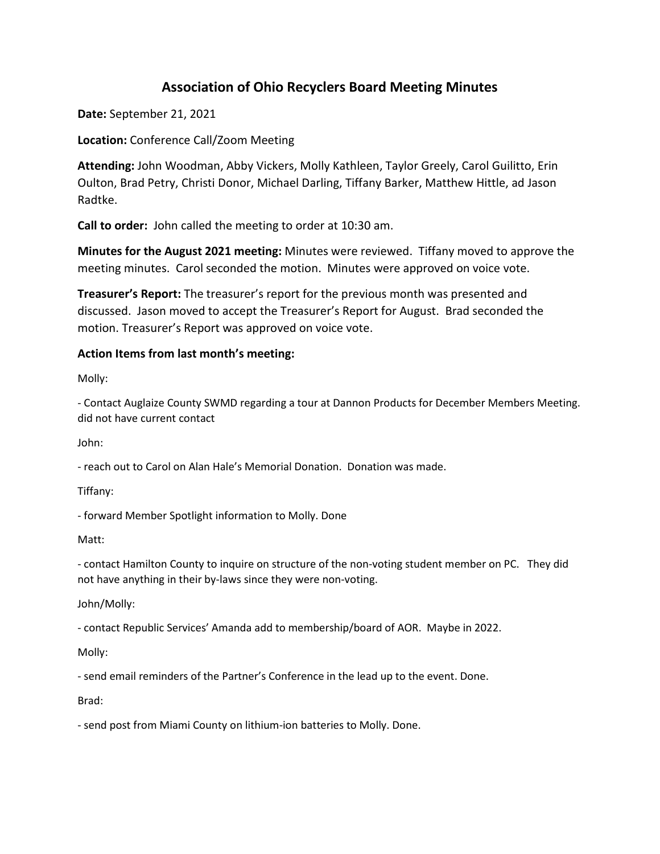# **Association of Ohio Recyclers Board Meeting Minutes**

**Date:** September 21, 2021

**Location:** Conference Call/Zoom Meeting

**Attending:** John Woodman, Abby Vickers, Molly Kathleen, Taylor Greely, Carol Guilitto, Erin Oulton, Brad Petry, Christi Donor, Michael Darling, Tiffany Barker, Matthew Hittle, ad Jason Radtke.

**Call to order:** John called the meeting to order at 10:30 am.

**Minutes for the August 2021 meeting:** Minutes were reviewed. Tiffany moved to approve the meeting minutes. Carol seconded the motion. Minutes were approved on voice vote.

**Treasurer's Report:** The treasurer's report for the previous month was presented and discussed. Jason moved to accept the Treasurer's Report for August. Brad seconded the motion. Treasurer's Report was approved on voice vote.

#### **Action Items from last month's meeting:**

Molly:

- Contact Auglaize County SWMD regarding a tour at Dannon Products for December Members Meeting. did not have current contact

John:

- reach out to Carol on Alan Hale's Memorial Donation. Donation was made.

Tiffany:

- forward Member Spotlight information to Molly. Done

Matt:

- contact Hamilton County to inquire on structure of the non-voting student member on PC. They did not have anything in their by-laws since they were non-voting.

John/Molly:

- contact Republic Services' Amanda add to membership/board of AOR. Maybe in 2022.

Molly:

- send email reminders of the Partner's Conference in the lead up to the event. Done.

Brad:

- send post from Miami County on lithium-ion batteries to Molly. Done.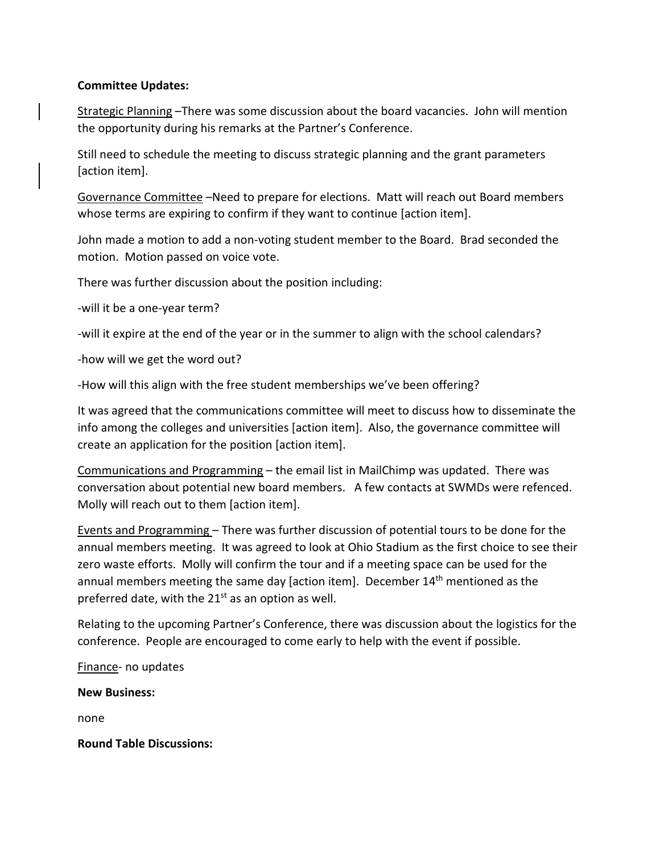#### **Committee Updates:**

Strategic Planning –There was some discussion about the board vacancies. John will mention the opportunity during his remarks at the Partner's Conference.

Still need to schedule the meeting to discuss strategic planning and the grant parameters [action item].

Governance Committee –Need to prepare for elections. Matt will reach out Board members whose terms are expiring to confirm if they want to continue [action item].

John made a motion to add a non-voting student member to the Board. Brad seconded the motion. Motion passed on voice vote.

There was further discussion about the position including:

-will it be a one-year term?

-will it expire at the end of the year or in the summer to align with the school calendars?

-how will we get the word out?

-How will this align with the free student memberships we've been offering?

It was agreed that the communications committee will meet to discuss how to disseminate the info among the colleges and universities [action item]. Also, the governance committee will create an application for the position [action item].

Communications and Programming – the email list in MailChimp was updated. There was conversation about potential new board members. A few contacts at SWMDs were refenced. Molly will reach out to them [action item].

Events and Programming – There was further discussion of potential tours to be done for the annual members meeting. It was agreed to look at Ohio Stadium as the first choice to see their zero waste efforts. Molly will confirm the tour and if a meeting space can be used for the annual members meeting the same day [action item]. December  $14<sup>th</sup>$  mentioned as the preferred date, with the  $21<sup>st</sup>$  as an option as well.

Relating to the upcoming Partner's Conference, there was discussion about the logistics for the conference. People are encouraged to come early to help with the event if possible.

Finance- no updates

**New Business:**

none

**Round Table Discussions:**